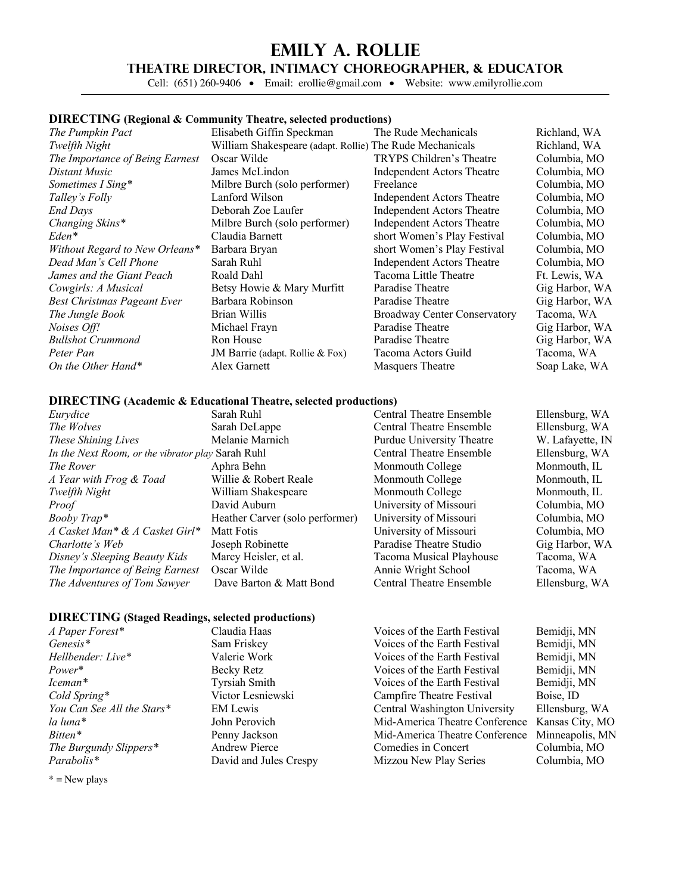## **Emily A. Rollie**

## **Theatre Director, Intimacy Choreographer, & Educator**

Cell: (651) 260-9406 • Email: erollie@gmail.com • Website: www.emilyrollie.com

### **DIRECTING (Regional & Community Theatre, selected productions)**

*The Pumpkin Pact* **Elisabeth Giffin Speckman** The Rude Mechanicals Richland, WA *Twelfth Night* William Shakespeare (adapt. Rollie) The Rude Mechanicals Richland, WA *The Importance of Being Earnest* Oscar Wilde TRYPS Children's Theatre Columbia, MO *Distant Music* James McLindon Independent Actors Theatre Columbia, MO *Sometimes I Sing\** Milbre Burch (solo performer) Freelance Columbia, MO<br> *Talley's Folly* **Columbia, MO** *Talley's Folly* **Columbia, MO** *End Days* Deborah Zoe Laufer Independent Actors Theatre Columbia, MO *Changing Skins\** Milbre Burch (solo performer) Independent Actors Theatre Columbia, MO Eden<sup>\*</sup> Claudia Barnett short Women's Play Festival Columbia, MO<br>
Without Regard to New Orleans<sup>\*</sup> Barbara Bryan short Women's Play Festival Columbia, MO *Without Regard to New Orleans\** Barbara Bryan short Women's Play Festival Columbia, MO *Dead Man's Cell Phone* Sarah Ruhl Independent Actors Theatre Columbia, MO *James and the Giant Peach* Roald Dahl Tacoma Little Theatre Ft. Lewis, WA *Cowgirls: A Musical* Betsy Howie & Mary Murfitt Paradise Theatre Gig Harbor, WA *Best Christmas Pageant Ever* Barbara Robinson Paradise Theatre Gig Harbor, WA *The Jungle Book* Brian Willis Broadway Center Conservatory Tacoma, WA *Noises Off!* Michael Frayn Paradise Theatre Gig Harbor, WA *Bullshot Crummond* Ron House Paradise Theatre Gig Harbor, WA *Peter Pan* JM Barrie (adapt. Rollie & Fox) Tacoma Actors Guild Tacoma, WA *On the Other Hand\** Alex Garnett Masquers Theatre Soap Lake, WA

*Talley's Folly* Lanford Wilson Independent Actors Theatre Columbia, MO

## **DIRECTING (Academic & Educational Theatre, selected productions)**

|                           | Ellensburg, WA   |
|---------------------------|------------------|
| Central Theatre Ensemble  | Ellensburg, WA   |
| Purdue University Theatre | W. Lafayette, IN |
| Central Theatre Ensemble  | Ellensburg, WA   |
| Monmouth College          | Monmouth, IL     |
| Monmouth College          | Monmouth, IL     |
| Monmouth College          | Monmouth. IL     |
| University of Missouri    | Columbia, MO     |
| University of Missouri    | Columbia, MO     |
| University of Missouri    | Columbia, MO     |
| Paradise Theatre Studio   | Gig Harbor, WA   |
| Tacoma Musical Playhouse  | Tacoma, WA       |
| Annie Wright School       | Tacoma, WA       |
| Central Theatre Ensemble  | Ellensburg, WA   |
|                           |                  |

#### **DIRECTING (Staged Readings, selected productions)**

| A Paper Forest*            | Claudia Haas           | Voices of the Earth Festival   | Bemidji, MN     |
|----------------------------|------------------------|--------------------------------|-----------------|
| Genesis <sup>*</sup>       | Sam Friskey            | Voices of the Earth Festival   | Bemidji, MN     |
| Hellbender: Live*          | Valerie Work           | Voices of the Earth Festival   | Bemidji, MN     |
| Power*                     | Becky Retz             | Voices of the Earth Festival   | Bemidji, MN     |
| Iceman*                    | <b>Tyrsiah Smith</b>   | Voices of the Earth Festival   | Bemidji, MN     |
| Cold Spring*               | Victor Lesniewski      | Campfire Theatre Festival      | Boise, ID       |
| You Can See All the Stars* | EM Lewis               | Central Washington University  | Ellensburg, WA  |
| la luna*                   | John Perovich          | Mid-America Theatre Conference | Kansas City, MO |
| Bitten*                    | Penny Jackson          | Mid-America Theatre Conference | Minneapolis, MN |
| The Burgundy Slippers*     | <b>Andrew Pierce</b>   | Comedies in Concert            | Columbia, MO    |
| Parabolis*                 | David and Jules Crespy | Mizzou New Play Series         | Columbia, MO    |
|                            |                        |                                |                 |

 $*$  = New plays